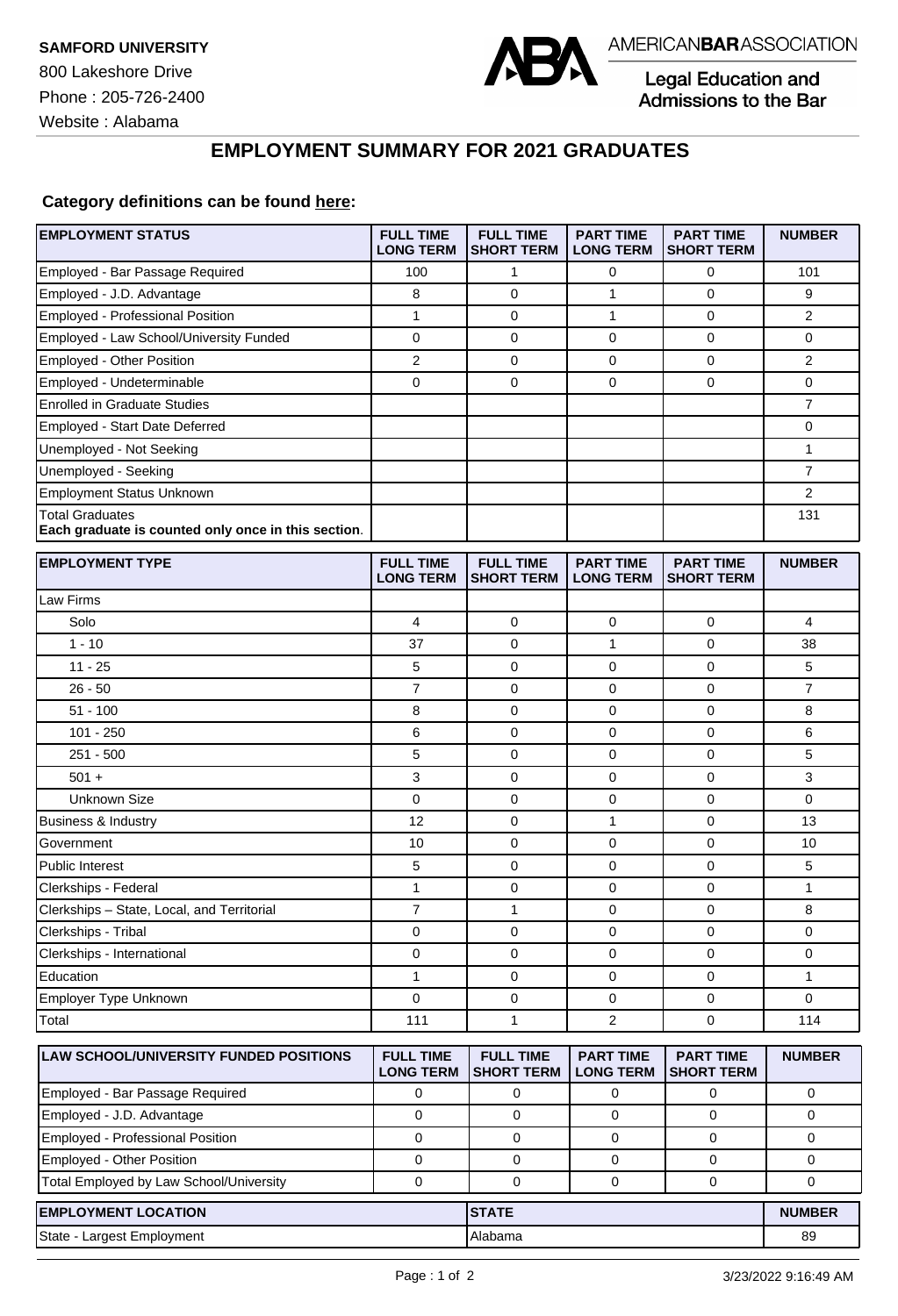800 Lakeshore Drive Phone : 205-726-2400





Legal Education and<br>Admissions to the Bar

## **EMPLOYMENT SUMMARY FOR 2021 GRADUATES**

## **Category definitions can be found [here:](https://www.americanbar.org/content/dam/aba/administrative/legal_education_and_admissions_to_the_bar/Questionnaires/2021/2022-employment-protocols-for-the-class-of-2021-september-2021.pdf)**

| <b>EMPLOYMENT STATUS</b>                                                      | <b>FULL TIME</b><br><b>LONG TERM</b> | <b>FULL TIME</b><br><b>SHORT TERM</b> | <b>PART TIME</b><br><b>LONG TERM</b> | <b>PART TIME</b><br><b>SHORT TERM</b> | <b>NUMBER</b>  |
|-------------------------------------------------------------------------------|--------------------------------------|---------------------------------------|--------------------------------------|---------------------------------------|----------------|
| Employed - Bar Passage Required                                               | 100                                  | 1                                     | 0                                    | 0                                     | 101            |
| Employed - J.D. Advantage                                                     | 8                                    | $\mathbf 0$                           | 1                                    | $\mathbf 0$                           | 9              |
| Employed - Professional Position                                              | 1                                    | $\mathbf 0$                           | 1                                    | $\mathbf 0$                           | $\overline{2}$ |
| Employed - Law School/University Funded                                       | 0                                    | $\mathbf 0$                           | 0                                    | $\mathbf 0$                           | 0              |
| Employed - Other Position                                                     | $\overline{2}$                       | 0                                     | $\mathbf 0$                          | $\mathbf{0}$                          | $\overline{2}$ |
| Employed - Undeterminable                                                     | 0                                    | $\mathbf 0$                           | $\mathbf 0$                          | $\mathbf 0$                           | 0              |
| <b>Enrolled in Graduate Studies</b>                                           |                                      |                                       |                                      |                                       | $\overline{7}$ |
| Employed - Start Date Deferred                                                |                                      |                                       |                                      |                                       | 0              |
| Unemployed - Not Seeking                                                      |                                      |                                       |                                      |                                       | 1              |
| Unemployed - Seeking                                                          |                                      |                                       |                                      |                                       | $\overline{7}$ |
| <b>Employment Status Unknown</b>                                              |                                      |                                       |                                      |                                       | 2              |
| <b>Total Graduates</b><br>Each graduate is counted only once in this section. |                                      |                                       |                                      |                                       | 131            |
| <b>EMPLOYMENT TYPE</b>                                                        | <b>FULL TIME</b><br><b>LONG TERM</b> | <b>FULL TIME</b><br><b>SHORT TERM</b> | <b>PART TIME</b><br><b>LONG TERM</b> | <b>PART TIME</b><br><b>SHORT TERM</b> | <b>NUMBER</b>  |
| Law Firms                                                                     |                                      |                                       |                                      |                                       |                |
| Solo                                                                          | 4                                    | 0                                     | 0                                    | 0                                     | 4              |
| $1 - 10$                                                                      | 37                                   | 0                                     | $\mathbf{1}$                         | $\mathbf 0$                           | 38             |
| $11 - 25$                                                                     | 5                                    | 0                                     | 0                                    | $\mathbf 0$                           | 5              |
| $26 - 50$                                                                     | 7                                    | 0                                     | 0                                    | $\mathbf 0$                           | $\overline{7}$ |
| $51 - 100$                                                                    | 8                                    | 0                                     | 0                                    | $\mathbf 0$                           | 8              |
| $101 - 250$                                                                   | 6                                    | 0                                     | 0                                    | $\mathbf 0$                           | 6              |
| $251 - 500$                                                                   | 5                                    | $\mathbf 0$                           | 0                                    | $\mathbf 0$                           | 5              |
| $501 +$                                                                       | 3                                    | $\mathbf 0$                           | 0                                    | $\mathbf 0$                           | 3              |
| Unknown Size                                                                  | 0                                    | 0                                     | $\mathbf 0$                          | $\mathbf{0}$                          | $\mathbf 0$    |
| <b>Business &amp; Industry</b>                                                | 12                                   | $\mathbf 0$                           | 1                                    | $\mathbf 0$                           | 13             |
| Government                                                                    | 10                                   | $\mathbf 0$                           | 0                                    | $\mathbf 0$                           | 10             |
| <b>Public Interest</b>                                                        | 5                                    | 0                                     | 0                                    | $\mathbf 0$                           | 5              |
| Clerkships - Federal                                                          | 1                                    | 0                                     | 0                                    | $\mathbf 0$                           | 1              |
| Clerkships - State, Local, and Territorial                                    | $\overline{7}$                       | $\mathbf{1}$                          | 0                                    | $\mathbf 0$                           | 8              |
| Clerkships - Tribal                                                           | 0                                    | 0                                     | 0                                    | 0                                     | 0              |
| Clerkships - International                                                    | 0                                    | 0                                     | 0                                    | $\mathbf 0$                           | 0              |
| Education                                                                     | 1                                    | 0                                     | 0                                    | $\pmb{0}$                             | 1              |
| Employer Type Unknown                                                         | 0                                    | $\mathbf 0$                           | $\mathbf 0$                          | $\mathbf{0}$                          | 0              |
| Total                                                                         | 111                                  | $\mathbf{1}$                          | $\overline{c}$                       | $\mathbf 0$                           | 114            |
| <b>LAW SCHOOL/UNIVERSITY FUNDED POSITIONS</b>                                 | <b>FULL TIME</b><br><b>LONG TERM</b> | <b>FULL TIME</b><br><b>SHORT TERM</b> | <b>PART TIME</b><br><b>LONG TERM</b> | <b>PART TIME</b><br><b>SHORT TERM</b> | <b>NUMBER</b>  |
| Employed - Bar Passage Required                                               | $\mathbf 0$                          | 0                                     | 0                                    | 0                                     | 0              |
| Employed - J.D. Advantage                                                     | $\mathbf 0$                          | 0                                     | 0                                    | 0                                     | 0              |
| Employed - Professional Position                                              | $\mathbf 0$                          | $\mathbf 0$                           | 0                                    | $\mathbf 0$                           | 0              |
| Employed - Other Position                                                     | 0                                    | 0                                     | 0                                    | 0                                     | 0              |
| Total Employed by Law School/University                                       | $\mathbf 0$                          | 0                                     | 0                                    | 0                                     | 0              |
| <b>EMPLOYMENT LOCATION</b>                                                    |                                      | <b>STATE</b>                          |                                      |                                       | <b>NUMBER</b>  |
| State - Largest Employment                                                    |                                      | Alabama                               |                                      |                                       | 89             |
|                                                                               |                                      |                                       |                                      |                                       |                |